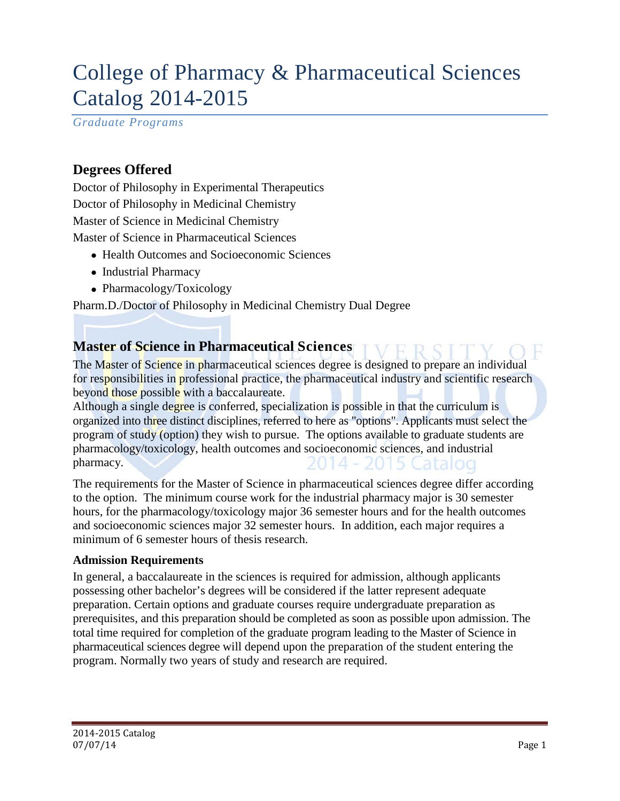# College of Pharmacy & Pharmaceutical Sciences Catalog 2014-2015

*Graduate Programs*

### **Degrees Offered**

Doctor of Philosophy in Experimental Therapeutics Doctor of Philosophy in Medicinal Chemistry Master of Science in Medicinal Chemistry Master of Science in Pharmaceutical Sciences

- Health Outcomes and Socioeconomic Sciences
- Industrial Pharmacy
- Pharmacology/Toxicology

Pharm.D./Doctor of Philosophy in Medicinal Chemistry Dual Degree

### **Master of Science in Pharmaceutical Sciences**

The Master of Science in pharmaceutical sciences degree is designed to prepare an individual for responsibilities in professional practice, the pharmaceutical industry and scientific research beyond those possible with a baccalaureate.

Although a single degree is conferred, specialization is possible in that the curriculum is organized into three distinct disciplines, referred to here as "options". Applicants must select the program of study (option) they wish to pursue. The options available to graduate students are pharmacology/toxicology, health outcomes and socioeconomic sciences, and industrial pharmacy.

The requirements for the Master of Science in pharmaceutical sciences degree differ according to the option. The minimum course work for the industrial pharmacy major is 30 semester hours, for the pharmacology/toxicology major 36 semester hours and for the health outcomes and socioeconomic sciences major 32 semester hours. In addition, each major requires a minimum of 6 semester hours of thesis research.

#### **Admission Requirements**

In general, a baccalaureate in the sciences is required for admission, although applicants possessing other bachelor's degrees will be considered if the latter represent adequate preparation. Certain options and graduate courses require undergraduate preparation as prerequisites, and this preparation should be completed as soon as possible upon admission. The total time required for completion of the graduate program leading to the Master of Science in pharmaceutical sciences degree will depend upon the preparation of the student entering the program. Normally two years of study and research are required.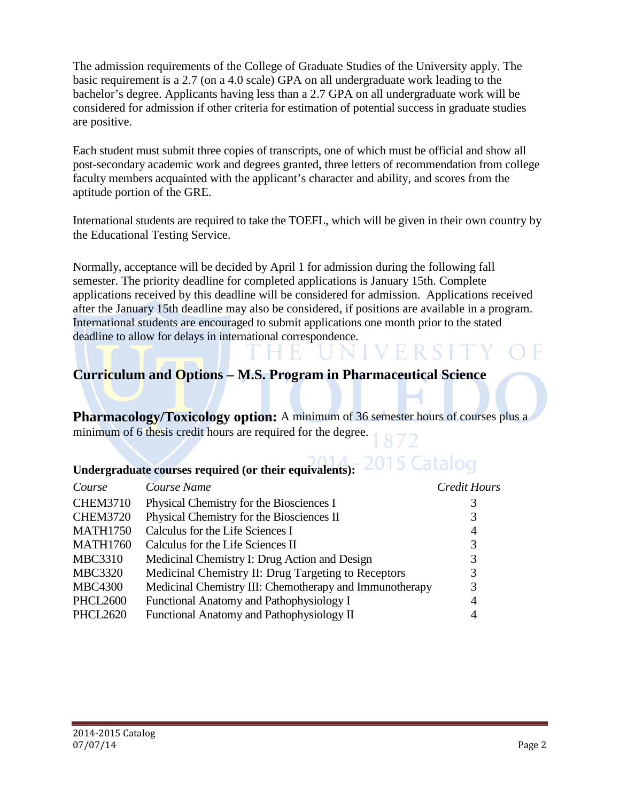The admission requirements of the College of Graduate Studies of the University apply. The basic requirement is a 2.7 (on a 4.0 scale) GPA on all undergraduate work leading to the bachelor's degree. Applicants having less than a 2.7 GPA on all undergraduate work will be considered for admission if other criteria for estimation of potential success in graduate studies are positive.

Each student must submit three copies of transcripts, one of which must be official and show all post-secondary academic work and degrees granted, three letters of recommendation from college faculty members acquainted with the applicant's character and ability, and scores from the aptitude portion of the GRE.

International students are required to take the TOEFL, which will be given in their own country by the Educational Testing Service.

Normally, acceptance will be decided by April 1 for admission during the following fall semester. The priority deadline for completed applications is January 15th. Complete applications received by this deadline will be considered for admission. Applications received after the January 15th deadline may also be considered, if positions are available in a program. International students are encouraged to submit applications one month prior to the stated deadline to allow for delays in international correspondence.

# **Curriculum and Options – M.S. Program in Pharmaceutical Science**

**Pharmacology/Toxicology option:** A minimum of 36 semester hours of courses plus a minimum of 6 thesis credit hours are required for the degree.

#### 2015 Catalog **Undergraduate courses required (or their equivalents):**

| Course          | Course Name                                             | Credit Hours   |
|-----------------|---------------------------------------------------------|----------------|
| <b>CHEM3710</b> | Physical Chemistry for the Biosciences I                | 3              |
| <b>CHEM3720</b> | Physical Chemistry for the Biosciences II               | 3              |
| <b>MATH1750</b> | Calculus for the Life Sciences I                        | $\overline{4}$ |
| <b>MATH1760</b> | Calculus for the Life Sciences II                       | 3              |
| <b>MBC3310</b>  | Medicinal Chemistry I: Drug Action and Design           | 3              |
| <b>MBC3320</b>  | Medicinal Chemistry II: Drug Targeting to Receptors     | 3              |
| <b>MBC4300</b>  | Medicinal Chemistry III: Chemotherapy and Immunotherapy | 3              |
| <b>PHCL2600</b> | Functional Anatomy and Pathophysiology I                | 4              |
| <b>PHCL2620</b> | Functional Anatomy and Pathophysiology II               | 4              |
|                 |                                                         |                |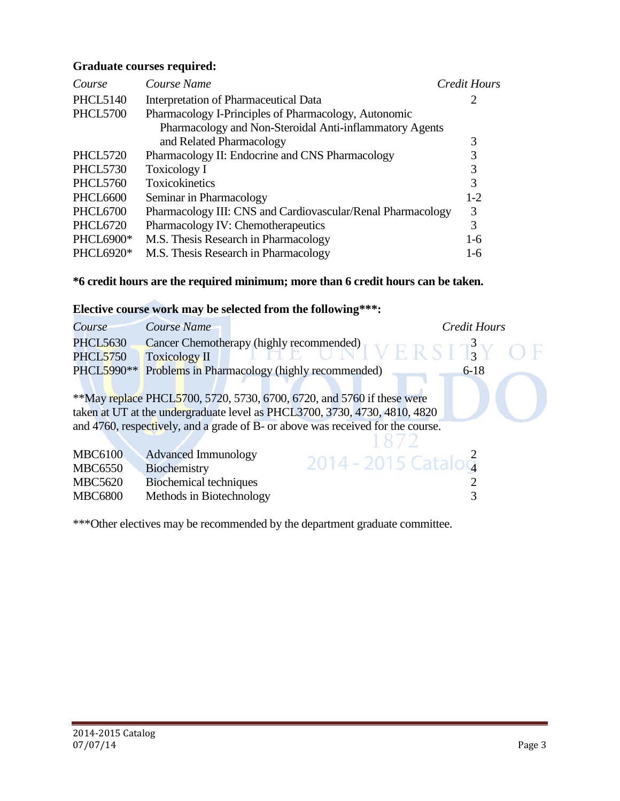#### **Graduate courses required:**

| Course           | Course Name                                                 | <b>Credit Hours</b> |
|------------------|-------------------------------------------------------------|---------------------|
| <b>PHCL5140</b>  | Interpretation of Pharmaceutical Data                       | 2                   |
| <b>PHCL5700</b>  | Pharmacology I-Principles of Pharmacology, Autonomic        |                     |
|                  | Pharmacology and Non-Steroidal Anti-inflammatory Agents     |                     |
|                  | and Related Pharmacology                                    | 3                   |
| <b>PHCL5720</b>  | Pharmacology II: Endocrine and CNS Pharmacology             | 3                   |
| <b>PHCL5730</b>  | <b>Toxicology I</b>                                         | 3                   |
| <b>PHCL5760</b>  | Toxicokinetics                                              | 3                   |
| <b>PHCL6600</b>  | Seminar in Pharmacology                                     | $1-2$               |
| <b>PHCL6700</b>  | Pharmacology III: CNS and Cardiovascular/Renal Pharmacology | 3                   |
| <b>PHCL6720</b>  | Pharmacology IV: Chemotherapeutics                          | 3                   |
| <b>PHCL6900*</b> | M.S. Thesis Research in Pharmacology                        | $1-6$               |
| PHCL6920*        | M.S. Thesis Research in Pharmacology                        | $1-6$               |

### **\*6 credit hours are the required minimum; more than 6 credit hours can be taken.**

### **Elective course work may be selected from the following\*\*\*:**

| Course          | Course Name                   |                                                                                 | <b>Credit Hours</b> |
|-----------------|-------------------------------|---------------------------------------------------------------------------------|---------------------|
| <b>PHCL5630</b> |                               | Cancer Chemotherapy (highly recommended)<br>$N E R S T3 Y O F$                  |                     |
| <b>PHCL5750</b> | <b>Toxicology II</b>          |                                                                                 |                     |
| PHCL5990**      |                               | Problems in Pharmacology (highly recommended)                                   | $6 - 18$            |
|                 |                               |                                                                                 |                     |
|                 |                               | **May replace PHCL5700, 5720, 5730, 6700, 6720, and 5760 if these were          |                     |
|                 |                               | taken at UT at the undergraduate level as PHCL3700, 3730, 4730, 4810, 4820      |                     |
|                 |                               | and 4760, respectively, and a grade of B- or above was received for the course. |                     |
|                 |                               |                                                                                 |                     |
| <b>MBC6100</b>  | <b>Advanced Immunology</b>    | 2014 - 2015 Catalog                                                             |                     |
| <b>MBC6550</b>  | Biochemistry                  |                                                                                 |                     |
| <b>MBC5620</b>  | <b>Biochemical techniques</b> |                                                                                 |                     |

MBC6800 Methods in Biotechnology 3

\*\*\*Other electives may be recommended by the department graduate committee.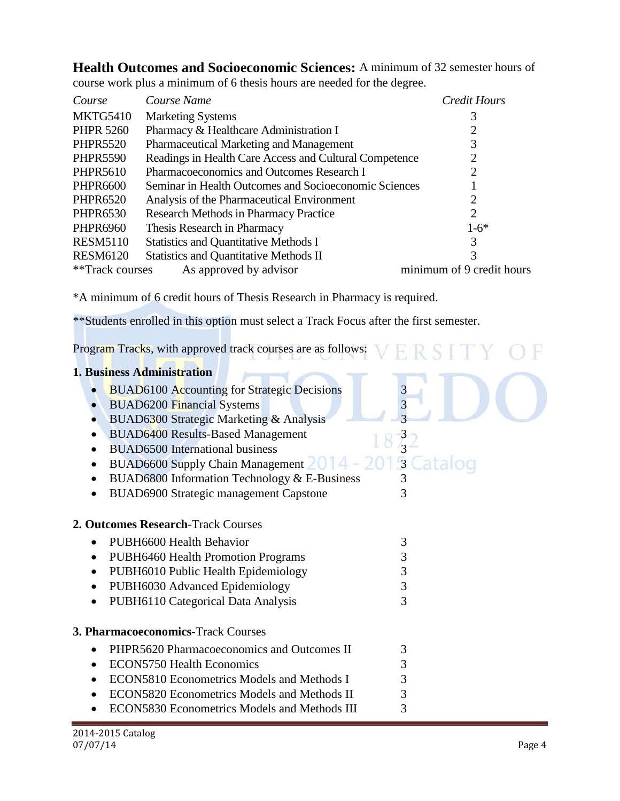**Health Outcomes and Socioeconomic Sciences:** A minimum of 32 semester hours of course work plus a minimum of 6 thesis hours are needed for the degree.

| Course           | Course Name                                            | Credit Hours                |
|------------------|--------------------------------------------------------|-----------------------------|
| <b>MKTG5410</b>  | <b>Marketing Systems</b>                               | 3                           |
| <b>PHPR 5260</b> | Pharmacy & Healthcare Administration I                 |                             |
| <b>PHPR5520</b>  | Pharmaceutical Marketing and Management                |                             |
| <b>PHPR5590</b>  | Readings in Health Care Access and Cultural Competence | 2                           |
| <b>PHPR5610</b>  | Pharmacoeconomics and Outcomes Research I              | $\mathcal{D}_{\mathcal{L}}$ |
| <b>PHPR6600</b>  | Seminar in Health Outcomes and Socioeconomic Sciences  |                             |
| <b>PHPR6520</b>  | Analysis of the Pharmaceutical Environment             |                             |
| <b>PHPR6530</b>  | <b>Research Methods in Pharmacy Practice</b>           | 2                           |
| <b>PHPR6960</b>  | Thesis Research in Pharmacy                            | $1-6*$                      |
| <b>RESM5110</b>  | <b>Statistics and Quantitative Methods I</b>           | 3                           |
| <b>RESM6120</b>  | <b>Statistics and Quantitative Methods II</b>          | 3                           |
| **Track courses  | As approved by advisor                                 | minimum of 9 credit hours   |

\*A minimum of 6 credit hours of Thesis Research in Pharmacy is required.

\*\*Students enrolled in this option must select a Track Focus after the first semester.

Program Tracks, with approved track courses are as follows:  $\nabla$  ERSITY OF

| 1. Business Administration                             |                |
|--------------------------------------------------------|----------------|
| <b>BUAD6100 Accounting for Strategic Decisions</b>     | 3              |
| <b>BUAD6200 Financial Systems</b><br>$\bullet$         | 3              |
| BUAD6300 Strategic Marketing & Analysis                |                |
| <b>BUAD6400 Results-Based Management</b>               |                |
| <b>BUAD6500</b> International business                 |                |
| <b>BUAD6600 Supply Chain Management</b>                | $\overline{3}$ |
| BUAD6800 Information Technology & E-Business           | 3              |
| <b>BUAD6900 Strategic management Capstone</b>          | 3              |
|                                                        |                |
| 2. Outcomes Research-Track Courses                     |                |
| PUBH6600 Health Behavior                               | 3              |
| <b>PUBH6460 Health Promotion Programs</b><br>$\bullet$ | 3              |
| PUBH6010 Public Health Epidemiology<br>$\bullet$       | 3              |
| PUBH6030 Advanced Epidemiology<br>$\bullet$            | 3              |
| PUBH6110 Categorical Data Analysis                     | 3              |
|                                                        |                |
| 3. Pharmacoeconomics-Track Courses                     |                |
| PHPR5620 Pharmacoeconomics and Outcomes II             | 3              |
| <b>ECON5750 Health Economics</b>                       | 3              |
| ECON5810 Econometrics Models and Methods I             | 3              |
| ECON5820 Econometrics Models and Methods II            | 3              |
| <b>ECON5830 Econometrics Models and Methods III</b>    | 3              |
|                                                        |                |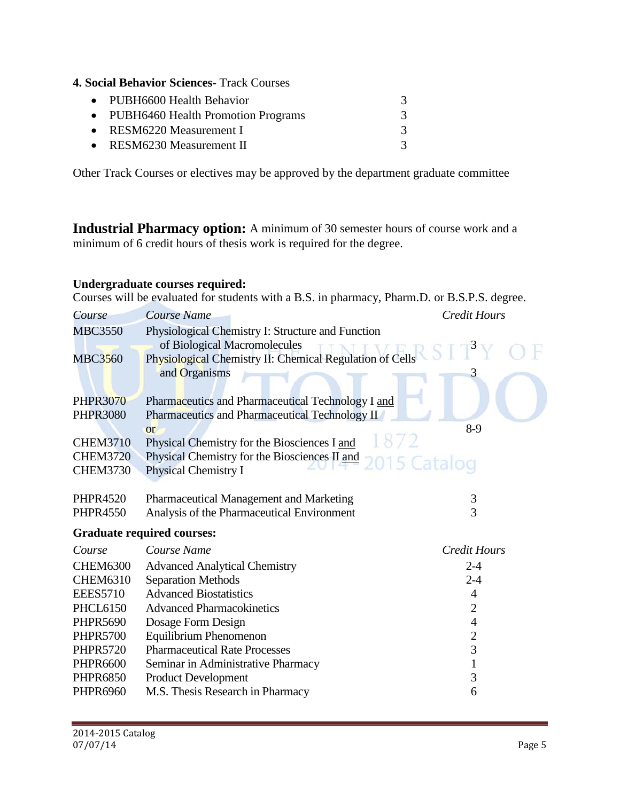**4. Social Behavior Sciences-** Track Courses

| 3 |
|---|
|   |
|   |
|   |

Other Track Courses or electives may be approved by the department graduate committee

**Industrial Pharmacy option:** A minimum of 30 semester hours of course work and a minimum of 6 credit hours of thesis work is required for the degree.

### **Undergraduate courses required:**

Courses will be evaluated for students with a B.S. in pharmacy, Pharm.D. or B.S.P.S. degree.

| Course          | <b>Course Name</b>                                           | <b>Credit Hours</b> |
|-----------------|--------------------------------------------------------------|---------------------|
| <b>MBC3550</b>  | Physiological Chemistry I: Structure and Function            |                     |
|                 | of Biological Macromolecules                                 |                     |
| <b>MBC3560</b>  | Physiological Chemistry II: Chemical Regulation of Cells     |                     |
|                 | and Organisms                                                | 3                   |
|                 |                                                              |                     |
| <b>PHPR3070</b> | Pharmaceutics and Pharmaceutical Technology I and            |                     |
| <b>PHPR3080</b> | Pharmaceutics and Pharmaceutical Technology II               |                     |
|                 | or                                                           | $8-9$               |
| <b>CHEM3710</b> | Physical Chemistry for the Biosciences I and                 |                     |
| <b>CHEM3720</b> | Physical Chemistry for the Biosciences II and<br>015 Catalog |                     |
| <b>CHEM3730</b> | Physical Chemistry I                                         |                     |
|                 |                                                              |                     |
| <b>PHPR4520</b> | Pharmaceutical Management and Marketing                      | 3                   |
| <b>PHPR4550</b> | Analysis of the Pharmaceutical Environment                   | 3                   |
|                 | <b>Graduate required courses:</b>                            |                     |
| Course          | Course Name                                                  | <b>Credit Hours</b> |
| <b>CHEM6300</b> | <b>Advanced Analytical Chemistry</b>                         | $2 - 4$             |
| <b>CHEM6310</b> | <b>Separation Methods</b>                                    | $2 - 4$             |
| <b>EEES5710</b> | <b>Advanced Biostatistics</b>                                | 4                   |
| <b>PHCL6150</b> | <b>Advanced Pharmacokinetics</b>                             | 2                   |
| <b>PHPR5690</b> | Dosage Form Design                                           | 4                   |
| <b>PHPR5700</b> | Equilibrium Phenomenon                                       | $\overline{2}$      |
| <b>PHPR5720</b> | <b>Pharmaceutical Rate Processes</b>                         | 3                   |
| <b>PHPR6600</b> | Seminar in Administrative Pharmacy                           | 1                   |
| <b>PHPR6850</b> | Product Development                                          | 3                   |
| <b>PHPR6960</b> | M.S. Thesis Research in Pharmacy                             | 6                   |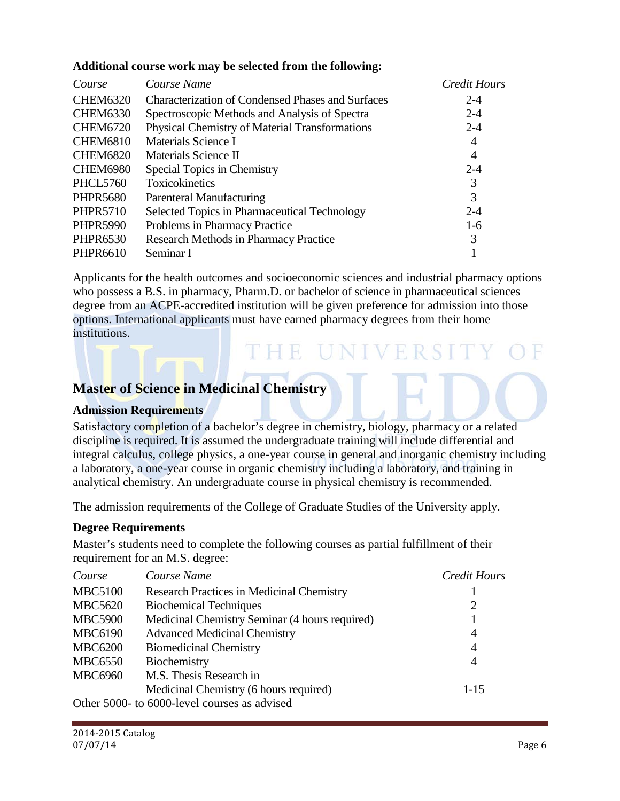### **Additional course work may be selected from the following:**

| Course          | Course Name                                       | <b>Credit Hours</b> |
|-----------------|---------------------------------------------------|---------------------|
| <b>CHEM6320</b> | Characterization of Condensed Phases and Surfaces | $2 - 4$             |
| <b>CHEM6330</b> | Spectroscopic Methods and Analysis of Spectra     | $2 - 4$             |
| <b>CHEM6720</b> | Physical Chemistry of Material Transformations    | $2 - 4$             |
| <b>CHEM6810</b> | Materials Science I                               | 4                   |
| <b>CHEM6820</b> | Materials Science II                              | 4                   |
| <b>CHEM6980</b> | Special Topics in Chemistry                       | $2 - 4$             |
| <b>PHCL5760</b> | <b>Toxicokinetics</b>                             | 3                   |
| <b>PHPR5680</b> | Parenteral Manufacturing                          | 3                   |
| <b>PHPR5710</b> | Selected Topics in Pharmaceutical Technology      | $2 - 4$             |
| <b>PHPR5990</b> | Problems in Pharmacy Practice                     | $1-6$               |
| <b>PHPR6530</b> | <b>Research Methods in Pharmacy Practice</b>      | 3                   |
| <b>PHPR6610</b> | Seminar I                                         |                     |

Applicants for the health outcomes and socioeconomic sciences and industrial pharmacy options who possess a B.S. in pharmacy, Pharm.D. or bachelor of science in pharmaceutical sciences degree from an ACPE-accredited institution will be given preference for admission into those options. International applicants must have earned pharmacy degrees from their home institutions.

'독일 2010'

## **Master of Science in Medicinal Chemistry**

### **Admission Requirements**

Satisfactory completion of a bachelor's degree in chemistry, biology, pharmacy or a related discipline is required. It is assumed the undergraduate training will include differential and integral calculus, college physics, a one-year course in general and inorganic chemistry including a laboratory, a one-year course in organic chemistry including a laboratory, and training in analytical chemistry. An undergraduate course in physical chemistry is recommended.

The admission requirements of the College of Graduate Studies of the University apply.

### **Degree Requirements**

Master's students need to complete the following courses as partial fulfillment of their requirement for an M.S. degree:

| Course         | Course Name                                      | Credit Hours   |
|----------------|--------------------------------------------------|----------------|
| <b>MBC5100</b> | <b>Research Practices in Medicinal Chemistry</b> |                |
| <b>MBC5620</b> | <b>Biochemical Techniques</b>                    | 2              |
| <b>MBC5900</b> | Medicinal Chemistry Seminar (4 hours required)   |                |
| <b>MBC6190</b> | <b>Advanced Medicinal Chemistry</b>              | $\overline{4}$ |
| <b>MBC6200</b> | <b>Biomedicinal Chemistry</b>                    | $\overline{4}$ |
| <b>MBC6550</b> | Biochemistry                                     | 4              |
| <b>MBC6960</b> | M.S. Thesis Research in                          |                |
|                | Medicinal Chemistry (6 hours required)           | $1 - 15$       |
|                | Other 5000- to 6000-level courses as advised     |                |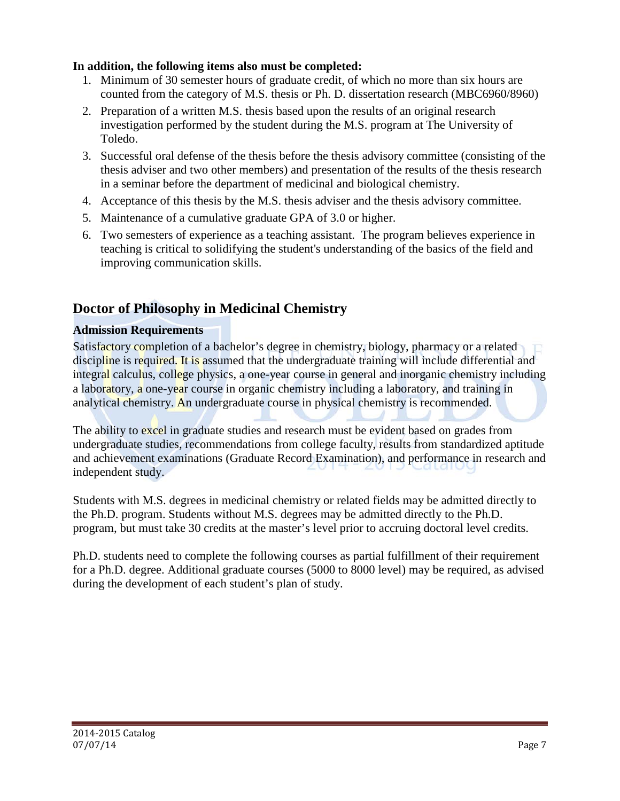### **In addition, the following items also must be completed:**

- 1. Minimum of 30 semester hours of graduate credit, of which no more than six hours are counted from the category of M.S. thesis or Ph. D. dissertation research (MBC6960/8960)
- 2. Preparation of a written M.S. thesis based upon the results of an original research investigation performed by the student during the M.S. program at The University of Toledo.
- 3. Successful oral defense of the thesis before the thesis advisory committee (consisting of the thesis adviser and two other members) and presentation of the results of the thesis research in a seminar before the department of medicinal and biological chemistry.
- 4. Acceptance of this thesis by the M.S. thesis adviser and the thesis advisory committee.
- 5. Maintenance of a cumulative graduate GPA of 3.0 or higher.
- 6. Two semesters of experience as a teaching assistant. The program believes experience in teaching is critical to solidifying the student's understanding of the basics of the field and improving communication skills.

## **Doctor of Philosophy in Medicinal Chemistry**

### **Admission Requirements**

Satisfactory completion of a bachelor's degree in chemistry, biology, pharmacy or a related discipline is required. It is assumed that the undergraduate training will include differential and integral calculus, college physics, a one-year course in general and inorganic chemistry including a laboratory, a one-year course in organic chemistry including a laboratory, and training in analytical chemistry. An undergraduate course in physical chemistry is recommended.

The ability to excel in graduate studies and research must be evident based on grades from undergraduate studies, recommendations from college faculty, results from standardized aptitude and achievement examinations (Graduate Record Examination), and performance in research and independent study.

Students with M.S. degrees in medicinal chemistry or related fields may be admitted directly to the Ph.D. program. Students without M.S. degrees may be admitted directly to the Ph.D. program, but must take 30 credits at the master's level prior to accruing doctoral level credits.

Ph.D. students need to complete the following courses as partial fulfillment of their requirement for a Ph.D. degree. Additional graduate courses (5000 to 8000 level) may be required, as advised during the development of each student's plan of study.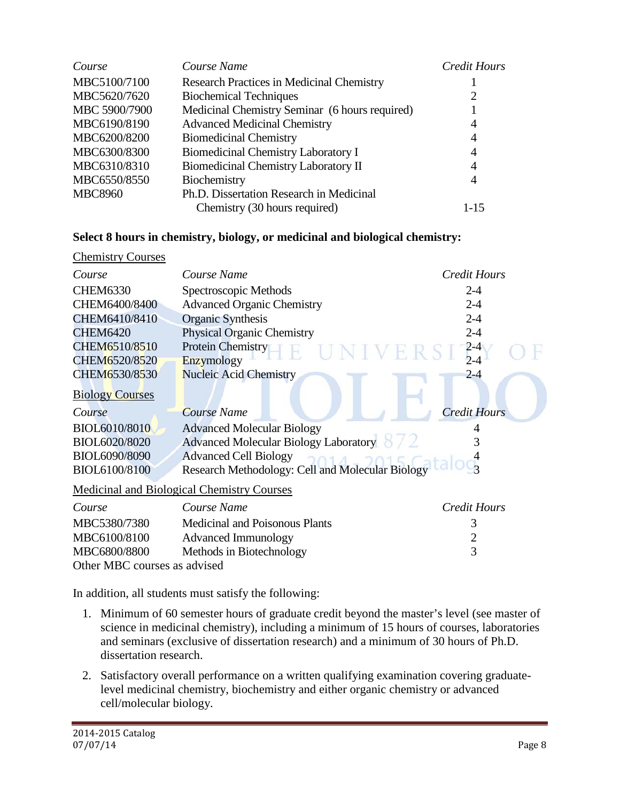| Course         | Course Name                                      | <b>Credit Hours</b> |
|----------------|--------------------------------------------------|---------------------|
| MBC5100/7100   | <b>Research Practices in Medicinal Chemistry</b> |                     |
| MBC5620/7620   | <b>Biochemical Techniques</b>                    | 2                   |
| MBC 5900/7900  | Medicinal Chemistry Seminar (6 hours required)   |                     |
| MBC6190/8190   | <b>Advanced Medicinal Chemistry</b>              | 4                   |
| MBC6200/8200   | <b>Biomedicinal Chemistry</b>                    | 4                   |
| MBC6300/8300   | <b>Biomedicinal Chemistry Laboratory I</b>       | 4                   |
| MBC6310/8310   | Biomedicinal Chemistry Laboratory II             | 4                   |
| MBC6550/8550   | Biochemistry                                     | 4                   |
| <b>MBC8960</b> | Ph.D. Dissertation Research in Medicinal         |                     |
|                | Chemistry (30 hours required)                    | $1 - 15$            |

### **Select 8 hours in chemistry, biology, or medicinal and biological chemistry:**

| <b>Chemistry Courses</b> |                                                                                                                                                                                                                                                                                                                                                                                               |                     |
|--------------------------|-----------------------------------------------------------------------------------------------------------------------------------------------------------------------------------------------------------------------------------------------------------------------------------------------------------------------------------------------------------------------------------------------|---------------------|
| Course                   | Course Name                                                                                                                                                                                                                                                                                                                                                                                   | Credit Hours        |
| <b>CHEM6330</b>          | Spectroscopic Methods                                                                                                                                                                                                                                                                                                                                                                         | $2 - 4$             |
| CHEM6400/8400            | <b>Advanced Organic Chemistry</b>                                                                                                                                                                                                                                                                                                                                                             | $2 - 4$             |
| CHEM6410/8410            | <b>Organic Synthesis</b>                                                                                                                                                                                                                                                                                                                                                                      | $2 - 4$             |
| <b>CHEM6420</b>          | <b>Physical Organic Chemistry</b>                                                                                                                                                                                                                                                                                                                                                             | $2 - 4$             |
| CHEM6510/8510            | Protein Chemistry                                                                                                                                                                                                                                                                                                                                                                             | $2 - 4$             |
| CHEM6520/8520            | Enzymology                                                                                                                                                                                                                                                                                                                                                                                    | $2 - 4$             |
| CHEM6530/8530            | <b>Nucleic Acid Chemistry</b>                                                                                                                                                                                                                                                                                                                                                                 | $2 - 4$             |
| <b>Biology Courses</b>   |                                                                                                                                                                                                                                                                                                                                                                                               |                     |
| Course                   | Course Name                                                                                                                                                                                                                                                                                                                                                                                   | <b>Credit Hours</b> |
| BIOL6010/8010            | <b>Advanced Molecular Biology</b>                                                                                                                                                                                                                                                                                                                                                             |                     |
| BIOL6020/8020            | Advanced Molecular Biology Laboratory                                                                                                                                                                                                                                                                                                                                                         | 3                   |
| BIOL6090/8090            | <b>Advanced Cell Biology</b>                                                                                                                                                                                                                                                                                                                                                                  |                     |
| BIOL6100/8100            | Research Methodology: Cell and Molecular Biology                                                                                                                                                                                                                                                                                                                                              |                     |
|                          | Medicinal and Biological Chemistry Courses                                                                                                                                                                                                                                                                                                                                                    |                     |
| Course                   | Course Name                                                                                                                                                                                                                                                                                                                                                                                   | <b>Credit Hours</b> |
| MBC5380/7380             | Medicinal and Poisonous Plants                                                                                                                                                                                                                                                                                                                                                                | 3                   |
| 1 <i>IDO 6100 10100</i>  | $\lambda$ 1 $\lambda$ 1 $\lambda$ 1 $\lambda$ 1 $\lambda$ 1 $\lambda$ 1 $\lambda$ 1 $\lambda$ 1 $\lambda$ 1 $\lambda$ 1 $\lambda$ 1 $\lambda$ 1 $\lambda$ 1 $\lambda$ 1 $\lambda$ 1 $\lambda$ 1 $\lambda$ 1 $\lambda$ 1 $\lambda$ 1 $\lambda$ 1 $\lambda$ 1 $\lambda$ 1 $\lambda$ 1 $\lambda$ 1 $\lambda$ 1 $\lambda$ 1 $\lambda$ 1 $\lambda$ 1 $\lambda$ 1 $\lambda$ 1 $\lambda$ 1 $\lambda$ |                     |

| MBC5380/7380                 | <b>Medicinal and Poisonous Plants</b> |  |
|------------------------------|---------------------------------------|--|
| MBC6100/8100                 | Advanced Immunology                   |  |
| MBC6800/8800                 | Methods in Biotechnology              |  |
| Other MBC courses as advised |                                       |  |

In addition, all students must satisfy the following:

- 1. Minimum of 60 semester hours of graduate credit beyond the master's level (see master of science in medicinal chemistry), including a minimum of 15 hours of courses, laboratories and seminars (exclusive of dissertation research) and a minimum of 30 hours of Ph.D. dissertation research.
- 2. Satisfactory overall performance on a written qualifying examination covering graduatelevel medicinal chemistry, biochemistry and either organic chemistry or advanced cell/molecular biology.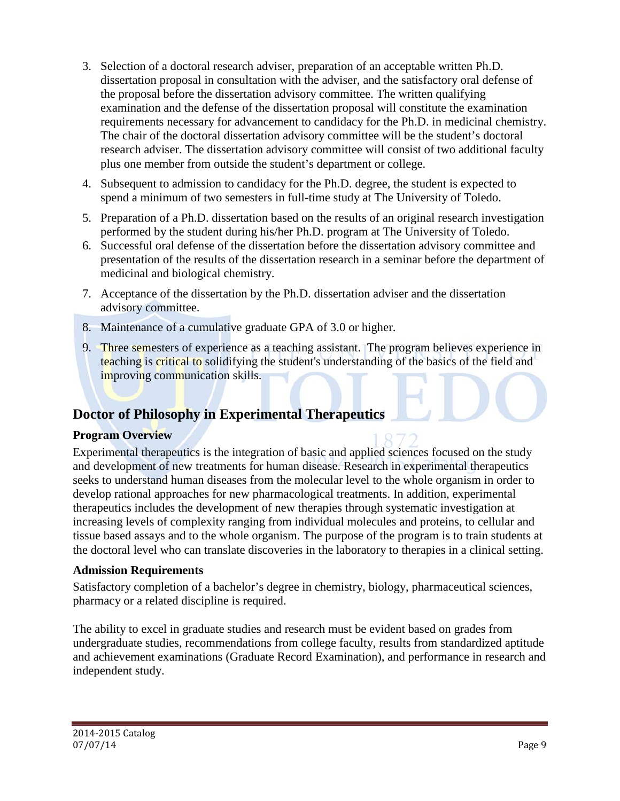- 3. Selection of a doctoral research adviser, preparation of an acceptable written Ph.D. dissertation proposal in consultation with the adviser, and the satisfactory oral defense of the proposal before the dissertation advisory committee. The written qualifying examination and the defense of the dissertation proposal will constitute the examination requirements necessary for advancement to candidacy for the Ph.D. in medicinal chemistry. The chair of the doctoral dissertation advisory committee will be the student's doctoral research adviser. The dissertation advisory committee will consist of two additional faculty plus one member from outside the student's department or college.
- 4. Subsequent to admission to candidacy for the Ph.D. degree, the student is expected to spend a minimum of two semesters in full-time study at The University of Toledo.
- 5. Preparation of a Ph.D. dissertation based on the results of an original research investigation performed by the student during his/her Ph.D. program at The University of Toledo.
- 6. Successful oral defense of the dissertation before the dissertation advisory committee and presentation of the results of the dissertation research in a seminar before the department of medicinal and biological chemistry.
- 7. Acceptance of the dissertation by the Ph.D. dissertation adviser and the dissertation advisory committee.
- 8. Maintenance of a cumulative graduate GPA of 3.0 or higher.
- 9. Three semesters of experience as a teaching assistant. The program believes experience in teaching is critical to solidifying the student's understanding of the basics of the field and improving communication skills.

## **Doctor of Philosophy in Experimental Therapeutics**

### **Program Overview**

Experimental therapeutics is the integration of basic and applied sciences focused on the study and development of new treatments for human disease. Research in experimental therapeutics seeks to understand human diseases from the molecular level to the whole organism in order to develop rational approaches for new pharmacological treatments. In addition, experimental therapeutics includes the development of new therapies through systematic investigation at increasing levels of complexity ranging from individual molecules and proteins, to cellular and tissue based assays and to the whole organism. The purpose of the program is to train students at the doctoral level who can translate discoveries in the laboratory to therapies in a clinical setting.

### **Admission Requirements**

Satisfactory completion of a bachelor's degree in chemistry, biology, pharmaceutical sciences, pharmacy or a related discipline is required.

The ability to excel in graduate studies and research must be evident based on grades from undergraduate studies, recommendations from college faculty, results from standardized aptitude and achievement examinations (Graduate Record Examination), and performance in research and independent study.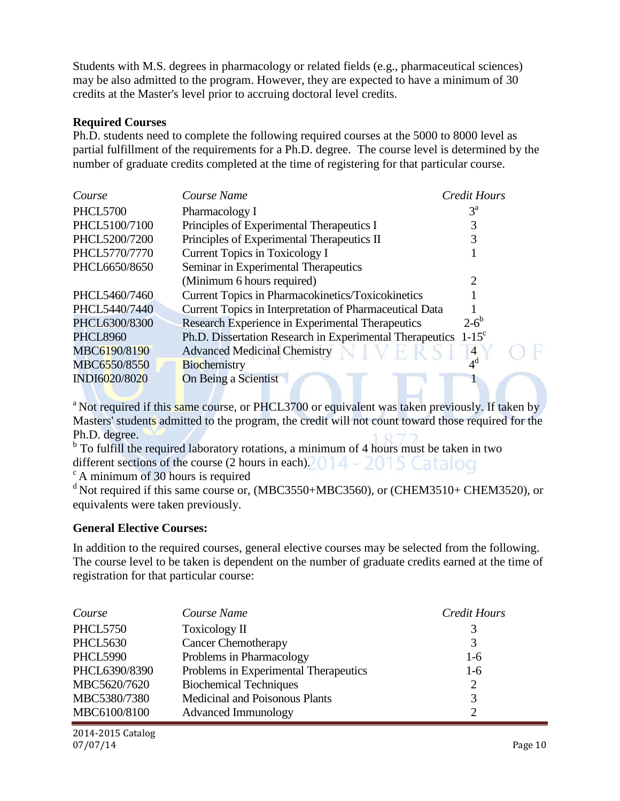Students with M.S. degrees in pharmacology or related fields (e.g., pharmaceutical sciences) may be also admitted to the program. However, they are expected to have a minimum of 30 credits at the Master's level prior to accruing doctoral level credits.

#### **Required Courses**

Ph.D. students need to complete the following required courses at the 5000 to 8000 level as partial fulfillment of the requirements for a Ph.D. degree. The course level is determined by the number of graduate credits completed at the time of registering for that particular course.

| Course          | Course Name                                                                | Credit Hours   |
|-----------------|----------------------------------------------------------------------------|----------------|
| <b>PHCL5700</b> | Pharmacology I                                                             | $3^{\rm a}$    |
| PHCL5100/7100   | Principles of Experimental Therapeutics I                                  |                |
| PHCL5200/7200   | Principles of Experimental Therapeutics II                                 |                |
| PHCL5770/7770   | Current Topics in Toxicology I                                             |                |
| PHCL6650/8650   | Seminar in Experimental Therapeutics                                       |                |
|                 | (Minimum 6 hours required)                                                 |                |
| PHCL5460/7460   | <b>Current Topics in Pharmacokinetics/Toxicokinetics</b>                   |                |
| PHCL5440/7440   | Current Topics in Interpretation of Pharmaceutical Data                    |                |
| PHCL6300/8300   | Research Experience in Experimental Therapeutics                           | $2 - 6^b$      |
| <b>PHCL8960</b> | Ph.D. Dissertation Research in Experimental Therapeutics 1-15 <sup>c</sup> |                |
| MBC6190/8190    | <b>Advanced Medicinal Chemistry</b>                                        | 4              |
| MBC6550/8550    | Biochemistry                                                               | 4 <sup>d</sup> |
| INDI6020/8020   | <b>On Being a Scientist</b>                                                |                |

<sup>a</sup> Not required if this same course, or PHCL3700 or equivalent was taken previously. If taken by Masters' students admitted to the program, the credit will not count toward those required for the Ph.D. degree.

<sup>b</sup> To fulfill the required laboratory rotations, a minimum of 4 hours must be taken in two different sections of the course (2 hours in each).  $014 - 2015$  Catalog

 $\degree$  A minimum of 30 hours is required

 $d$  Not required if this same course or, (MBC3550+MBC3560), or (CHEM3510+ CHEM3520), or equivalents were taken previously.

### **General Elective Courses:**

In addition to the required courses, general elective courses may be selected from the following. The course level to be taken is dependent on the number of graduate credits earned at the time of registration for that particular course:

| Course          | Course Name                           | <b>Credit Hours</b> |
|-----------------|---------------------------------------|---------------------|
| <b>PHCL5750</b> | Toxicology II                         | 3                   |
| <b>PHCL5630</b> | <b>Cancer Chemotherapy</b>            | 3                   |
| <b>PHCL5990</b> | Problems in Pharmacology              | $1-6$               |
| PHCL6390/8390   | Problems in Experimental Therapeutics | $1-6$               |
| MBC5620/7620    | <b>Biochemical Techniques</b>         | $\overline{2}$      |
| MBC5380/7380    | Medicinal and Poisonous Plants        | 3                   |
| MBC6100/8100    | <b>Advanced Immunology</b>            | $\mathcal{D}$       |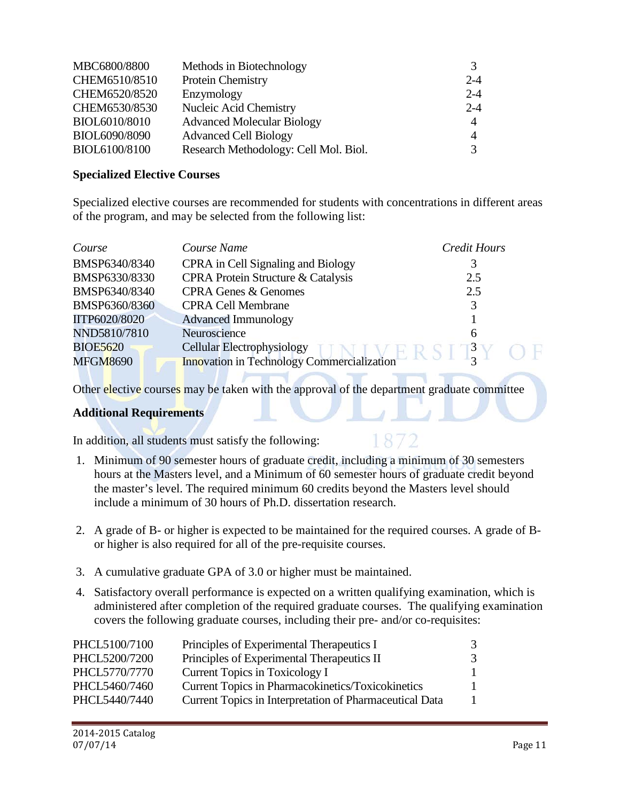| MBC6800/8800  | Methods in Biotechnology              | 3              |
|---------------|---------------------------------------|----------------|
| CHEM6510/8510 | Protein Chemistry                     | $2 - 4$        |
| CHEM6520/8520 | Enzymology                            | $2 - 4$        |
| CHEM6530/8530 | Nucleic Acid Chemistry                | $2 - 4$        |
| BIOL6010/8010 | <b>Advanced Molecular Biology</b>     | $\overline{A}$ |
| BIOL6090/8090 | <b>Advanced Cell Biology</b>          | 4              |
| BIOL6100/8100 | Research Methodology: Cell Mol. Biol. |                |

#### **Specialized Elective Courses**

Specialized elective courses are recommended for students with concentrations in different areas of the program, and may be selected from the following list:

| Course          | Course Name                                       | <b>Credit Hours</b> |  |
|-----------------|---------------------------------------------------|---------------------|--|
| BMSP6340/8340   | CPRA in Cell Signaling and Biology                |                     |  |
| BMSP6330/8330   | <b>CPRA Protein Structure &amp; Catalysis</b>     | 2.5                 |  |
| BMSP6340/8340   | <b>CPRA Genes &amp; Genomes</b>                   | 2.5                 |  |
| BMSP6360/8360   | <b>CPRA Cell Membrane</b>                         |                     |  |
| IITP6020/8020   | <b>Advanced Immunology</b>                        |                     |  |
| NND5810/7810    | Neuroscience                                      | 6                   |  |
| <b>BIOE5620</b> | <b>Cellular Electrophysiology</b>                 | $3^{\circ}$         |  |
| <b>MFGM8690</b> | <b>Innovation in Technology Commercialization</b> | $\sim$              |  |

Other elective courses may be taken with the approval of the department graduate committee

### **Additional Requirements**

In addition, all students must satisfy the following:

- 1. Minimum of 90 semester hours of graduate credit, including a minimum of 30 semesters hours at the Masters level, and a Minimum of 60 semester hours of graduate credit beyond the master's level. The required minimum 60 credits beyond the Masters level should include a minimum of 30 hours of Ph.D. dissertation research.
- 2. A grade of B- or higher is expected to be maintained for the required courses. A grade of Bor higher is also required for all of the pre-requisite courses.
- 3. A cumulative graduate GPA of 3.0 or higher must be maintained.
- 4. Satisfactory overall performance is expected on a written qualifying examination, which is administered after completion of the required graduate courses. The qualifying examination covers the following graduate courses, including their pre- and/or co-requisites:

| PHCL5100/7100 | Principles of Experimental Therapeutics I               | 3             |
|---------------|---------------------------------------------------------|---------------|
| PHCL5200/7200 | Principles of Experimental Therapeutics II              | $\mathcal{F}$ |
| PHCL5770/7770 | Current Topics in Toxicology I                          |               |
| PHCL5460/7460 | Current Topics in Pharmacokinetics/Toxicokinetics       |               |
| PHCL5440/7440 | Current Topics in Interpretation of Pharmaceutical Data |               |
|               |                                                         |               |